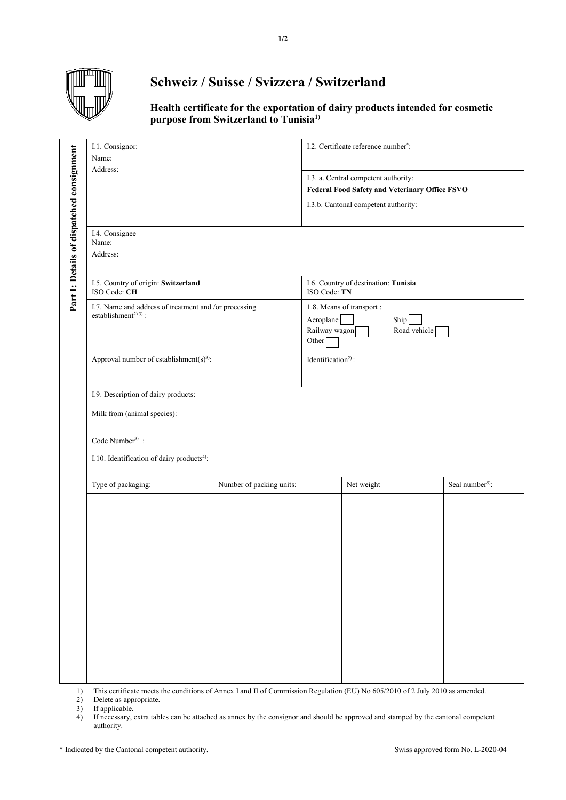

## **Schweiz / Suisse / Svizzera / Switzerland**

**Health certificate for the exportation of dairy products intended for cosmetic purpose from Switzerland to Tunisia1)**

|                                           | I.1. Consignor:<br>Name:<br>Address:<br>I.4. Consignee                                            |                          | I.2. Certificate reference number*:                                                                   |            |                             |  |
|-------------------------------------------|---------------------------------------------------------------------------------------------------|--------------------------|-------------------------------------------------------------------------------------------------------|------------|-----------------------------|--|
| Part 1: Details of dispatched consignment |                                                                                                   |                          | I.3. a. Central competent authority:<br>Federal Food Safety and Veterinary Office FSVO                |            |                             |  |
|                                           |                                                                                                   |                          | I.3.b. Cantonal competent authority:                                                                  |            |                             |  |
|                                           | Name:<br>Address:                                                                                 |                          |                                                                                                       |            |                             |  |
|                                           | I.5. Country of origin: Switzerland<br>ISO Code: CH                                               |                          | I.6. Country of destination: Tunisia<br>ISO Code: TN                                                  |            |                             |  |
|                                           | I.7. Name and address of treatment and /or processing<br>establishment <sup>2) 3)</sup> :         |                          | 1.8. Means of transport :<br>Aeroplane<br>Ship<br>Railway wagon<br>Road vehicle<br>Other <sup>[</sup> |            |                             |  |
|                                           | Approval number of establishment(s) <sup>3)</sup> :                                               |                          | Identification <sup>2)</sup> :                                                                        |            |                             |  |
|                                           | I.9. Description of dairy products:<br>Milk from (animal species):<br>Code Number <sup>3)</sup> : |                          |                                                                                                       |            |                             |  |
|                                           | I.10. Identification of dairy products <sup>4)</sup> :                                            |                          |                                                                                                       |            |                             |  |
|                                           | Type of packaging:                                                                                | Number of packing units: |                                                                                                       | Net weight | Seal number <sup>5)</sup> : |  |
|                                           |                                                                                                   |                          |                                                                                                       |            |                             |  |
|                                           |                                                                                                   |                          |                                                                                                       |            |                             |  |
|                                           |                                                                                                   |                          |                                                                                                       |            |                             |  |

Delete as appropriate.

If applicable.

1) This certificate meets the conditions of Annex I and II of Commission Regulation (EU) No 605/2010 of 2 July 2010 as amended.<br>
2) Delete as appropriate.<br>
1) If applicable.<br>
4) If necessary, extra tables can be attached a 4) If necessary, extra tables can be attached as annex by the consignor and should be approved and stamped by the cantonal competent authority.